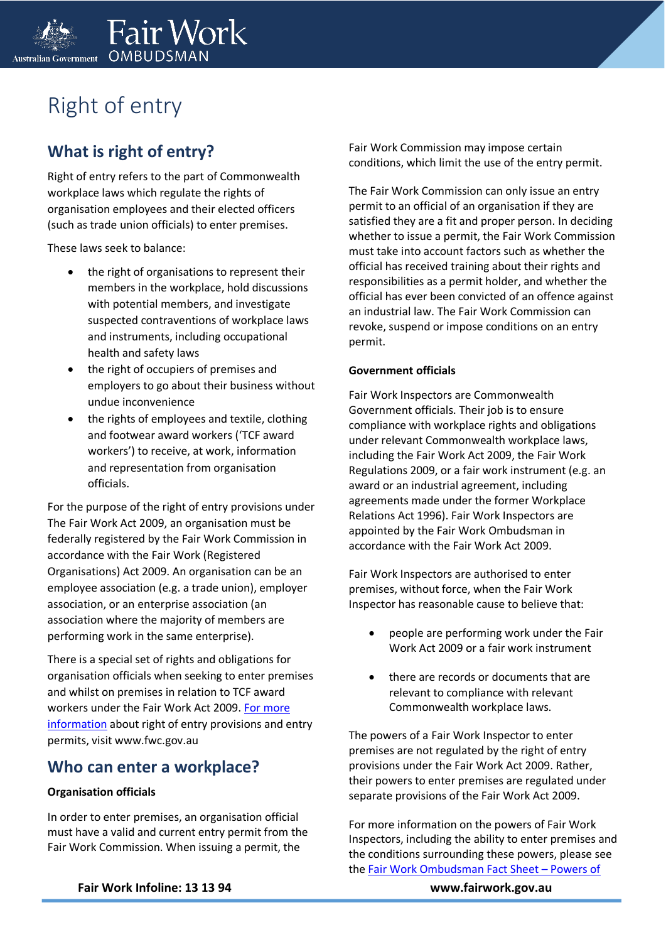

# Right of entry

## **What is right of entry?**

Right of entry refers to the part of Commonwealth workplace laws which regulate the rights of organisation employees and their elected officers (such as trade union officials) to enter premises.

These laws seek to balance:

- the right of organisations to represent their members in the workplace, hold discussions with potential members, and investigate suspected contraventions of workplace laws and instruments, including occupational health and safety laws
- the right of occupiers of premises and employers to go about their business without undue inconvenience
- the rights of employees and textile, clothing and footwear award workers ('TCF award workers') to receive, at work, information and representation from organisation officials.

For the purpose of the right of entry provisions under The Fair Work Act 2009, an organisation must be federally registered by the Fair Work Commission in accordance with the Fair Work (Registered Organisations) Act 2009. An organisation can be an employee association (e.g. a trade union), employer association, or an enterprise association (an association where the majority of members are performing work in the same enterprise).

There is a special set of rights and obligations for organisation officials when seeking to enter premises and whilst on premises in relation to TCF award workers under the Fair Work Act 2009. [For more](https://www.fwc.gov.au/)  [information](https://www.fwc.gov.au/) about right of entry provisions and entry permits, visit www.fwc.gov.au

### **Who can enter a workplace?**

### **Organisation officials**

In order to enter premises, an organisation official must have a valid and current entry permit from the Fair Work Commission. When issuing a permit, the

Fair Work Commission may impose certain conditions, which limit the use of the entry permit.

The Fair Work Commission can only issue an entry permit to an official of an organisation if they are satisfied they are a fit and proper person. In deciding whether to issue a permit, the Fair Work Commission must take into account factors such as whether the official has received training about their rights and responsibilities as a permit holder, and whether the official has ever been convicted of an offence against an industrial law. The Fair Work Commission can revoke, suspend or impose conditions on an entry permit.

#### **Government officials**

Fair Work Inspectors are Commonwealth Government officials. Their job is to ensure compliance with workplace rights and obligations under relevant Commonwealth workplace laws, including the Fair Work Act 2009, the Fair Work Regulations 2009, or a fair work instrument (e.g. an award or an industrial agreement, including agreements made under the former Workplace Relations Act 1996). Fair Work Inspectors are appointed by the Fair Work Ombudsman in accordance with the Fair Work Act 2009.

Fair Work Inspectors are authorised to enter premises, without force, when the Fair Work Inspector has reasonable cause to believe that:

- people are performing work under the Fair Work Act 2009 or a fair work instrument
- there are records or documents that are relevant to compliance with relevant Commonwealth workplace laws.

The powers of a Fair Work Inspector to enter premises are not regulated by the right of entry provisions under the Fair Work Act 2009. Rather, their powers to enter premises are regulated under separate provisions of the Fair Work Act 2009.

For more information on the powers of Fair Work Inspectors, including the ability to enter premises and the conditions surrounding these powers, please see the [Fair Work Ombudsman Fact Sheet](https://www.fairwork.gov.au/how-we-will-help/templates-and-guides/fact-sheets/about-us/powers-of-fair-work-inspectors) – Powers of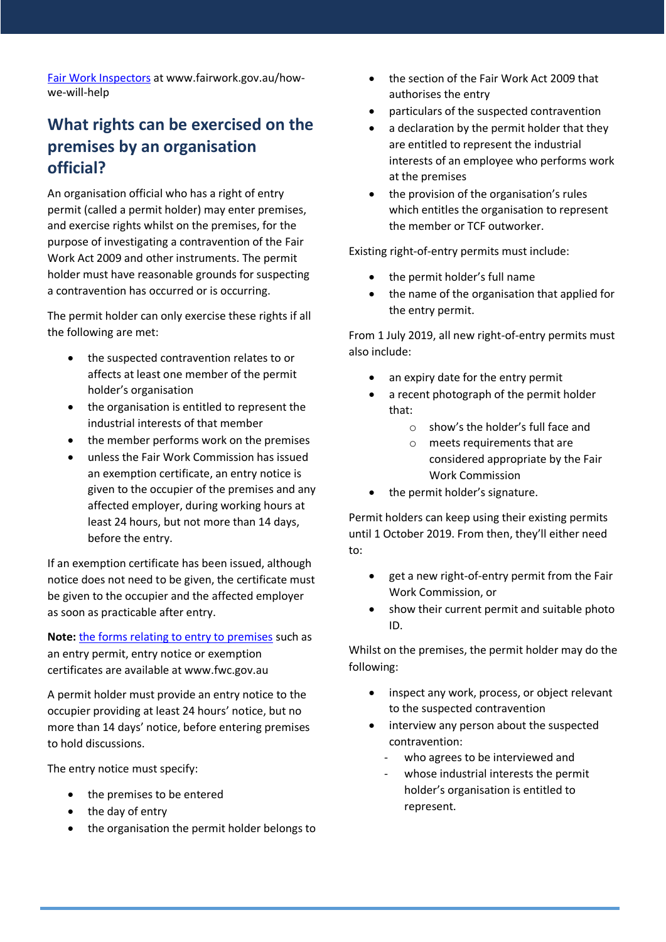[Fair Work Inspectors](https://www.fairwork.gov.au/how-we-will-help/templates-and-guides/fact-sheets/about-us/powers-of-fair-work-inspectors) at www.fairwork.gov.au/howwe-will-help

## **What rights can be exercised on the premises by an organisation official?**

An organisation official who has a right of entry permit (called a permit holder) may enter premises, and exercise rights whilst on the premises, for the purpose of investigating a contravention of the Fair Work Act 2009 and other instruments. The permit holder must have reasonable grounds for suspecting a contravention has occurred or is occurring.

The permit holder can only exercise these rights if all the following are met:

- the suspected contravention relates to or affects at least one member of the permit holder's organisation
- the organisation is entitled to represent the industrial interests of that member
- the member performs work on the premises
- unless the Fair Work Commission has issued an exemption certificate, an entry notice is given to the occupier of the premises and any affected employer, during working hours at least 24 hours, but not more than 14 days, before the entry.

If an exemption certificate has been issued, although notice does not need to be given, the certificate must be given to the occupier and the affected employer as soon as practicable after entry.

**Note:** [the forms relating to entry to premises](https://www.fwc.gov.au/) such as an entry permit, entry notice or exemption certificates are available at www.fwc.gov.au

A permit holder must provide an entry notice to the occupier providing at least 24 hours' notice, but no more than 14 days' notice, before entering premises to hold discussions.

The entry notice must specify:

- the premises to be entered
- the day of entry
- the organisation the permit holder belongs to
- the section of the Fair Work Act 2009 that authorises the entry
- particulars of the suspected contravention
- a declaration by the permit holder that they are entitled to represent the industrial interests of an employee who performs work at the premises
- the provision of the organisation's rules which entitles the organisation to represent the member or TCF outworker.

Existing right-of-entry permits must include:

- the permit holder's full name
- the name of the organisation that applied for the entry permit.

From 1 July 2019, all new right-of-entry permits must also include:

- an expiry date for the entry permit
- a recent photograph of the permit holder that:
	- o show's the holder's full face and
	- o meets requirements that are considered appropriate by the Fair Work Commission
- the permit holder's signature.

Permit holders can keep using their existing permits until 1 October 2019. From then, they'll either need to:

- get a new right-of-entry permit from the Fair Work Commission, or
- show their current permit and suitable photo ID.

Whilst on the premises, the permit holder may do the following:

- inspect any work, process, or object relevant to the suspected contravention
- interview any person about the suspected contravention:
	- who agrees to be interviewed and
	- whose industrial interests the permit holder's organisation is entitled to represent.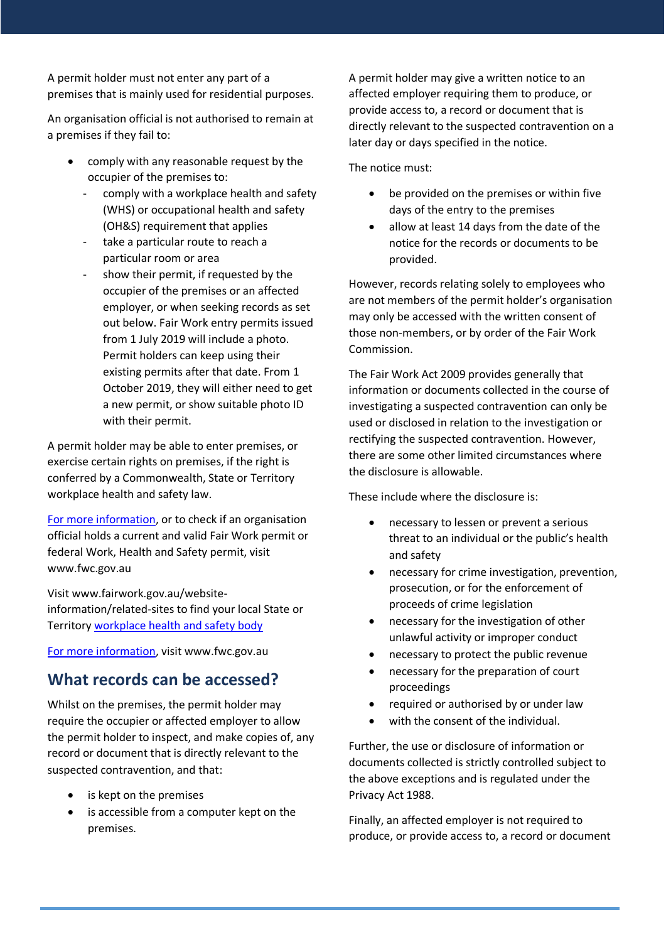A permit holder must not enter any part of a premises that is mainly used for residential purposes.

An organisation official is not authorised to remain at a premises if they fail to:

- comply with any reasonable request by the occupier of the premises to:
	- comply with a workplace health and safety (WHS) or occupational health and safety (OH&S) requirement that applies
	- take a particular route to reach a particular room or area
	- show their permit, if requested by the occupier of the premises or an affected employer, or when seeking records as set out below. Fair Work entry permits issued from 1 July 2019 will include a photo. Permit holders can keep using their existing permits after that date. From 1 October 2019, they will either need to get a new permit, or show suitable photo ID with their permit.

A permit holder may be able to enter premises, or exercise certain rights on premises, if the right is conferred by a Commonwealth, State or Territory workplace health and safety law.

[For more information,](https://www.fwc.gov.au/) or to check if an organisation official holds a current and valid Fair Work permit or federal Work, Health and Safety permit, visit www.fwc.gov.au

Visit www.fairwork.gov.au/websiteinformation/related-sites to find your local State or Territory [workplace health and safety body](http://www.fairwork.gov.au/website-information/related-sites)

[For more information,](https://www.fwc.gov.au/) visit www.fwc.gov.au

### **What records can be accessed?**

Whilst on the premises, the permit holder may require the occupier or affected employer to allow the permit holder to inspect, and make copies of, any record or document that is directly relevant to the suspected contravention, and that:

- is kept on the premises
- is accessible from a computer kept on the premises.

A permit holder may give a written notice to an affected employer requiring them to produce, or provide access to, a record or document that is directly relevant to the suspected contravention on a later day or days specified in the notice.

The notice must:

- be provided on the premises or within five days of the entry to the premises
- allow at least 14 days from the date of the notice for the records or documents to be provided.

However, records relating solely to employees who are not members of the permit holder's organisation may only be accessed with the written consent of those non-members, or by order of the Fair Work Commission.

The Fair Work Act 2009 provides generally that information or documents collected in the course of investigating a suspected contravention can only be used or disclosed in relation to the investigation or rectifying the suspected contravention. However, there are some other limited circumstances where the disclosure is allowable.

These include where the disclosure is:

- necessary to lessen or prevent a serious threat to an individual or the public's health and safety
- necessary for crime investigation, prevention, prosecution, or for the enforcement of proceeds of crime legislation
- necessary for the investigation of other unlawful activity or improper conduct
- necessary to protect the public revenue
- necessary for the preparation of court proceedings
- required or authorised by or under law
- with the consent of the individual.

Further, the use or disclosure of information or documents collected is strictly controlled subject to the above exceptions and is regulated under the Privacy Act 1988.

Finally, an affected employer is not required to produce, or provide access to, a record or document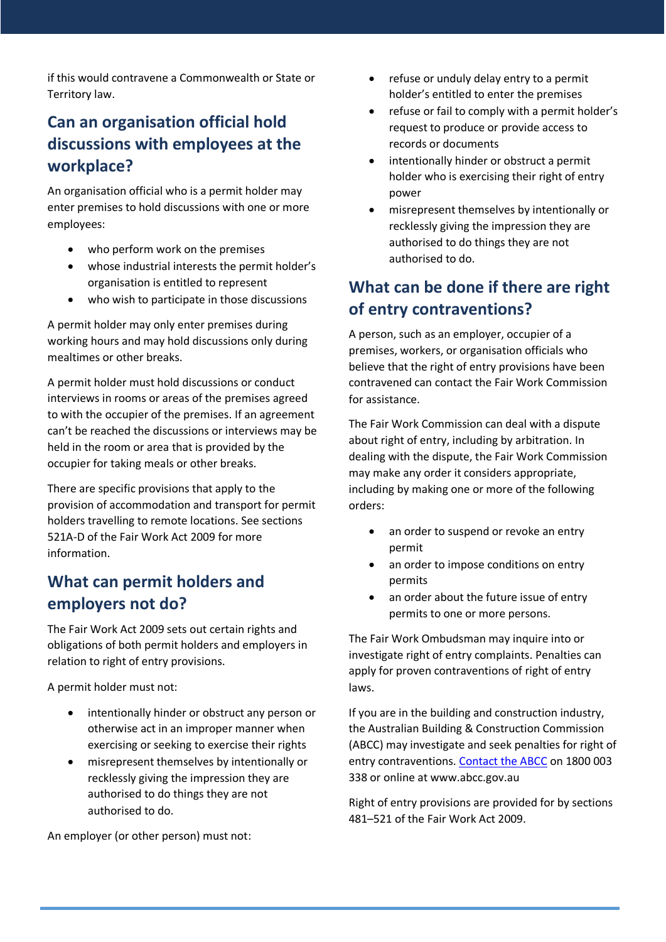if this would contravene a Commonwealth or State or Territory law.

## **Can an organisation official hold discussions with employees at the workplace?**

An organisation official who is a permit holder may enter premises to hold discussions with one or more employees:

- who perform work on the premises
- whose industrial interests the permit holder's organisation is entitled to represent
- who wish to participate in those discussions

A permit holder may only enter premises during working hours and may hold discussions only during mealtimes or other breaks.

A permit holder must hold discussions or conduct interviews in rooms or areas of the premises agreed to with the occupier of the premises. If an agreement can't be reached the discussions or interviews may be held in the room or area that is provided by the occupier for taking meals or other breaks.

There are specific provisions that apply to the provision of accommodation and transport for permit holders travelling to remote locations. See sections 521A-D of the Fair Work Act 2009 for more information.

### **What can permit holders and employers not do?**

The Fair Work Act 2009 sets out certain rights and obligations of both permit holders and employers in relation to right of entry provisions.

A permit holder must not:

- intentionally hinder or obstruct any person or otherwise act in an improper manner when exercising or seeking to exercise their rights
- misrepresent themselves by intentionally or recklessly giving the impression they are authorised to do things they are not authorised to do.

An employer (or other person) must not:

- refuse or unduly delay entry to a permit holder's entitled to enter the premises
- refuse or fail to comply with a permit holder's request to produce or provide access to records or documents
- intentionally hinder or obstruct a permit holder who is exercising their right of entry power
- misrepresent themselves by intentionally or recklessly giving the impression they are authorised to do things they are not authorised to do.

## **What can be done if there are right of entry contraventions?**

A person, such as an employer, occupier of a premises, workers, or organisation officials who believe that the right of entry provisions have been contravened can contact the Fair Work Commission for assistance.

The Fair Work Commission can deal with a dispute about right of entry, including by arbitration. In dealing with the dispute, the Fair Work Commission may make any order it considers appropriate, including by making one or more of the following orders:

- an order to suspend or revoke an entry permit
- an order to impose conditions on entry permits
- an order about the future issue of entry permits to one or more persons.

The Fair Work Ombudsman may inquire into or investigate right of entry complaints. Penalties can apply for proven contraventions of right of entry laws.

If you are in the building and construction industry, the Australian Building & Construction Commission (ABCC) may investigate and seek penalties for right of entry contraventions[. Contact the ABCC](http://www.abcc.gov.au/) on 1800 003 338 or online at www.abcc.gov.au

Right of entry provisions are provided for by sections 481–521 of the Fair Work Act 2009.